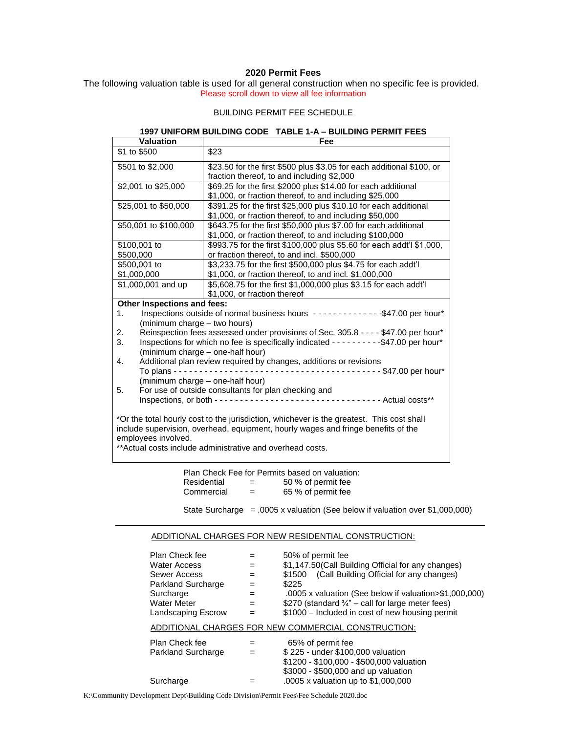### **2020 Permit Fees**

The following valuation table is used for all general construction when no specific fee is provided. Please scroll down to view all fee information

### BUILDING PERMIT FEE SCHEDULE

## **1997 UNIFORM BUILDING CODE TABLE 1-A – BUILDING PERMIT FEES**

| Valuation                                                                                                                                                                                                                               | Fee                                                                                                                         |  |  |  |  |
|-----------------------------------------------------------------------------------------------------------------------------------------------------------------------------------------------------------------------------------------|-----------------------------------------------------------------------------------------------------------------------------|--|--|--|--|
| \$1 to \$500                                                                                                                                                                                                                            | \$23                                                                                                                        |  |  |  |  |
| \$501 to \$2,000                                                                                                                                                                                                                        | \$23.50 for the first \$500 plus \$3.05 for each additional \$100, or<br>fraction thereof, to and including \$2,000         |  |  |  |  |
| \$2,001 to \$25,000                                                                                                                                                                                                                     | \$69.25 for the first \$2000 plus \$14.00 for each additional<br>\$1,000, or fraction thereof, to and including \$25,000    |  |  |  |  |
| \$25,001 to \$50,000                                                                                                                                                                                                                    | \$391.25 for the first \$25,000 plus \$10.10 for each additional<br>\$1,000, or fraction thereof, to and including \$50,000 |  |  |  |  |
| \$50,001 to \$100,000                                                                                                                                                                                                                   | \$643.75 for the first \$50,000 plus \$7.00 for each additional<br>\$1,000, or fraction thereof, to and including \$100,000 |  |  |  |  |
| \$100,001 to<br>\$500,000                                                                                                                                                                                                               | \$993.75 for the first \$100,000 plus \$5.60 for each addt'l \$1,000,<br>or fraction thereof, to and incl. \$500,000        |  |  |  |  |
| \$500,001 to<br>\$1,000,000                                                                                                                                                                                                             | \$3,233.75 for the first \$500,000 plus \$4.75 for each addt'l<br>\$1,000, or fraction thereof, to and incl. \$1,000,000    |  |  |  |  |
| \$1,000,001 and up                                                                                                                                                                                                                      | \$5,608.75 for the first \$1,000,000 plus \$3.15 for each addt'l<br>\$1,000, or fraction thereof                            |  |  |  |  |
| Other Inspections and fees:                                                                                                                                                                                                             |                                                                                                                             |  |  |  |  |
| 1.                                                                                                                                                                                                                                      | Inspections outside of normal business hours --------------\$47.00 per hour*                                                |  |  |  |  |
| (minimum charge - two hours)                                                                                                                                                                                                            |                                                                                                                             |  |  |  |  |
| Reinspection fees assessed under provisions of Sec. 305.8 - - - - \$47.00 per hour*<br>2.<br>3.<br>Inspections for which no fee is specifically indicated - - - - - - - - - - - - \$47.00 per hour*<br>(minimum charge - one-half hour) |                                                                                                                             |  |  |  |  |
| 4.                                                                                                                                                                                                                                      | Additional plan review required by changes, additions or revisions                                                          |  |  |  |  |
| To plans - $-$                                                                                                                                                                                                                          | -------------- \$47.00 per hour*                                                                                            |  |  |  |  |
|                                                                                                                                                                                                                                         | (minimum charge - one-half hour)                                                                                            |  |  |  |  |
| For use of outside consultants for plan checking and<br>5.                                                                                                                                                                              |                                                                                                                             |  |  |  |  |
| Inspections, or both ---------------------------------- Actual costs**                                                                                                                                                                  |                                                                                                                             |  |  |  |  |
| *Or the total hourly cost to the jurisdiction, whichever is the greatest. This cost shall<br>include supervision, overhead, equipment, hourly wages and fringe benefits of the<br>employees involved.                                   |                                                                                                                             |  |  |  |  |
| **Actual costs include administrative and overhead costs.                                                                                                                                                                               |                                                                                                                             |  |  |  |  |

|             |     | Plan Check Fee for Permits based on valuation: |
|-------------|-----|------------------------------------------------|
| Residential | $=$ | 50 % of permit fee                             |
| Commercial  | $=$ | 65 % of permit fee                             |

State Surcharge = .0005 x valuation (See below if valuation over \$1,000,000)

### ADDITIONAL CHARGES FOR NEW RESIDENTIAL CONSTRUCTION:

| Plan Check fee<br>Water Access<br>Sewer Access<br>Parkland Surcharge<br>Surcharge<br><b>Water Meter</b><br>Landscaping Escrow | $=$<br>$=$<br>$=$<br>$=$<br>$=$<br>$=$ | 50% of permit fee<br>\$1,147.50(Call Building Official for any changes)<br>\$1500 (Call Building Official for any changes)<br>\$225<br>.0005 x valuation (See below if valuation>\$1,000,000).<br>\$270 (standard $\frac{3}{4}$ " – call for large meter fees)<br>\$1000 – Included in cost of new housing permit |  |  |  |  |
|-------------------------------------------------------------------------------------------------------------------------------|----------------------------------------|-------------------------------------------------------------------------------------------------------------------------------------------------------------------------------------------------------------------------------------------------------------------------------------------------------------------|--|--|--|--|
| ADDITIONAL CHARGES FOR NEW COMMERCIAL CONSTRUCTION:                                                                           |                                        |                                                                                                                                                                                                                                                                                                                   |  |  |  |  |
| Plan Check fee<br>Parkland Surcharge                                                                                          | $=$                                    | 65% of permit fee<br>\$225 - under \$100,000 valuation<br>\$1200 - \$100,000 - \$500,000 valuation<br>\$3000 - \$500,000 and up valuation                                                                                                                                                                         |  |  |  |  |
| Surcharge                                                                                                                     |                                        | .0005 x valuation up to \$1,000,000                                                                                                                                                                                                                                                                               |  |  |  |  |

K:\Community Development Dept\Building Code Division\Permit Fees\Fee Schedule 2020.doc